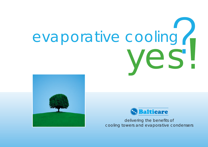# evaporative cooling





delivering the benefits of cooling towers and evaporative condensers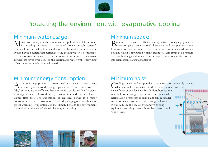

# Protecting the environment with evaporative cooling

#### Minimum water usage

Many processes, particularly in industrial applications, still use water for cooling purposes in a so-called "once-through system". The resulting thermal pollution and waste of this costly resource can be avoided with a system that recirculates the cooling water. The principle of evaporative cooling used in cooling towers and evaporative condensers saves over 95% of the recirculated water whilst providing other important environmental benefits.

#### Minimum energy consumption

Air cooled equipment is often used to reject process heat, particularly in air conditioning applications. However air cooled or "dry" systems are less efficient than evaporative cooled or "wet" systems resulting in greater electrical energy consumption and they also have a higher first cost. The generation of electrical power is a major contributor to the emission of ozone depleting gases which cause global warming. Evaporative cooling directly benefits the environment by minimising the use of electrical energy for cooling.

#### Minimum space

Because of its greater efficiency evaporative cooling equipment is more compact than air cooled alternatives and occupies less space. Cooling towers or evaporative condensers can also be installed inside a building which is favoured by many architects. With space at a premium on most buildings and industrial sites evaporative cooling offers owners important space saving advantages.

#### Minimum noise

Cooling towers and evaporative condensers are inherently quieter than air cooled alternatives as they require less airflow and hence fewer or smaller fans. In addition, because they ........................ achieve lower cooling temperatures, the associated refrigeration or process cooling plant can be smaller and thus quieter. As noise is increasingly of concern in our daily life the use of evaporative cooling equipment ensuring systems have the lowest overall sound level.

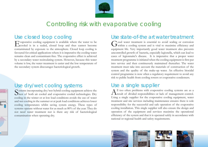

## Controlling risk with evaporative cooling

#### Use closed loop cooling

Evaporative cooling equipment is available where the water to be cooled is in a sealed, closed loop and thus cannot become contaminated by exposure to the atmosphere. Closed loop cooling is favoured for critical applications where it is imperative the cooling water remains clean and contaminant-free. The evaporative effect is achieved by a secondary water recirculating system. However, because this water volume is low, the water treatment is easier and the low temperature of the secondary system discourages bacteriological growth.

#### Use dry/wet cooling systems

Systems incorporating dry/wet hybrid cooling equipment achieve the best of both air cooled and evaporative cooled technologies. Dry cooling in the winter or at low load conditions avoids the use of water and wet cooling in the summer or at peak load conditions achieves lower cooling temperatures whilst saving system energy. These types of systems operate without water for as much as 80% of the year. They do not need water treatment nor is there any risk of bacteriological contamination when operating dry.

#### Use state-of-the art water treatment

Good water treatment is essential to avoid scaling or corrosion within a cooling system and is vital to maximise efficiency and equipment life. Very importantly good water treatment also prevents uncontrolled growth of bacteria, especially legionella, which can lead to cases of legionnaire's disease. It is imperative that a proper water treatment programme is initiated when the cooling equipment is first put into service and then continuously maintained thereafter. The water treatment must take into account the materials of construction of the system and the quality of the make-up water. An effective biocidal control programme is now often a regulatory requirement to avoid any risk to public health from cooling towers or evaporative condensers.

## Use a single supplier

 $A<sup>ll</sup>$  too often problems with evaporative cooling systems are as a  $A$ -result of divided responsibilities or lack of management control. Using a single supplier for the evaporative cooling equipment, water treatment and site services including maintenance ensures there is sole responsibility for the successful and safe operation of the evaporative cooling installation. This single supplier will also ensure the design and operation of the equipment and services maximise the operational efficiency of the system and that it is operated safely in accordance with national or regional health and safety requirements.